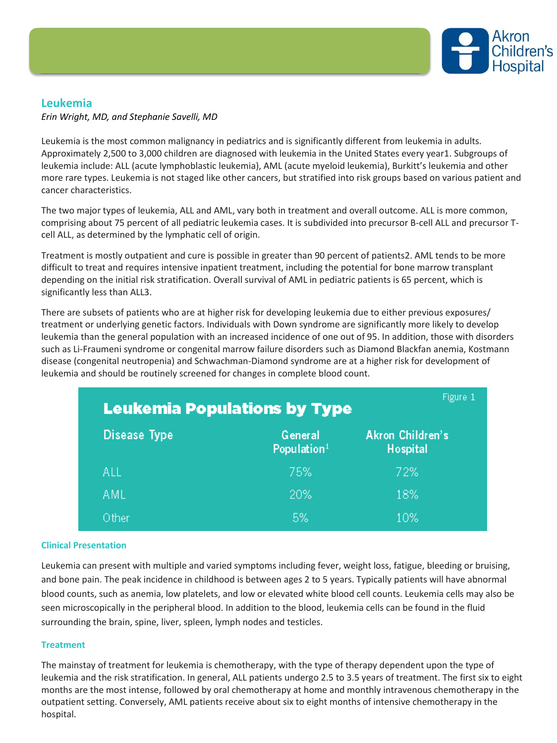

# **Leukemia**

*Erin Wright, MD, and Stephanie Savelli, MD*

Leukemia is the most common malignancy in pediatrics and is significantly different from leukemia in adults. Approximately 2,500 to 3,000 children are diagnosed with leukemia in the United States every year1. Subgroups of leukemia include: ALL (acute lymphoblastic leukemia), AML (acute myeloid leukemia), Burkitt's leukemia and other more rare types. Leukemia is not staged like other cancers, but stratified into risk groups based on various patient and cancer characteristics.

The two major types of leukemia, ALL and AML, vary both in treatment and overall outcome. ALL is more common, comprising about 75 percent of all pediatric leukemia cases. It is subdivided into precursor B-cell ALL and precursor Tcell ALL, as determined by the lymphatic cell of origin.

Treatment is mostly outpatient and cure is possible in greater than 90 percent of patients2. AML tends to be more difficult to treat and requires intensive inpatient treatment, including the potential for bone marrow transplant depending on the initial risk stratification. Overall survival of AML in pediatric patients is 65 percent, which is significantly less than ALL3.

There are subsets of patients who are at higher risk for developing leukemia due to either previous exposures/ treatment or underlying genetic factors. Individuals with Down syndrome are significantly more likely to develop leukemia than the general population with an increased incidence of one out of 95. In addition, those with disorders such as Li-Fraumeni syndrome or congenital marrow failure disorders such as Diamond Blackfan anemia, Kostmann disease (congenital neutropenia) and Schwachman-Diamond syndrome are at a higher risk for development of leukemia and should be routinely screened for changes in complete blood count.

| Figure 1<br><b>Leukemia Populations by Type</b> |                                    |                                     |
|-------------------------------------------------|------------------------------------|-------------------------------------|
| Disease Type                                    | General<br>Population <sup>1</sup> | Akron Children's<br><b>Hospital</b> |
| all                                             | 75%                                | 72%                                 |
| AML                                             | 20%                                | 18%                                 |
| Other                                           | 5%                                 | 10%                                 |

## **Clinical Presentation**

Leukemia can present with multiple and varied symptoms including fever, weight loss, fatigue, bleeding or bruising, and bone pain. The peak incidence in childhood is between ages 2 to 5 years. Typically patients will have abnormal blood counts, such as anemia, low platelets, and low or elevated white blood cell counts. Leukemia cells may also be seen microscopically in the peripheral blood. In addition to the blood, leukemia cells can be found in the fluid surrounding the brain, spine, liver, spleen, lymph nodes and testicles.

#### **Treatment**

The mainstay of treatment for leukemia is chemotherapy, with the type of therapy dependent upon the type of leukemia and the risk stratification. In general, ALL patients undergo 2.5 to 3.5 years of treatment. The first six to eight months are the most intense, followed by oral chemotherapy at home and monthly intravenous chemotherapy in the outpatient setting. Conversely, AML patients receive about six to eight months of intensive chemotherapy in the hospital.